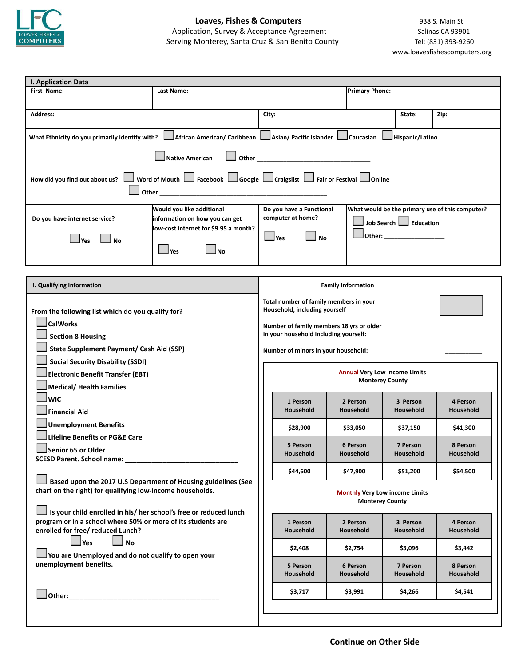

| I. Application Data                                                                                                                                                                                                                         |                                                                                                                                       |                                                                                                                          |                                                                                                                                                                                     |  |                       |                       |                       |                                                                |                       |  |  |  |  |
|---------------------------------------------------------------------------------------------------------------------------------------------------------------------------------------------------------------------------------------------|---------------------------------------------------------------------------------------------------------------------------------------|--------------------------------------------------------------------------------------------------------------------------|-------------------------------------------------------------------------------------------------------------------------------------------------------------------------------------|--|-----------------------|-----------------------|-----------------------|----------------------------------------------------------------|-----------------------|--|--|--|--|
| First Name:                                                                                                                                                                                                                                 | Last Name:                                                                                                                            |                                                                                                                          | <b>Primary Phone:</b>                                                                                                                                                               |  |                       |                       |                       |                                                                |                       |  |  |  |  |
|                                                                                                                                                                                                                                             |                                                                                                                                       |                                                                                                                          |                                                                                                                                                                                     |  |                       |                       |                       |                                                                |                       |  |  |  |  |
| <b>Address:</b>                                                                                                                                                                                                                             |                                                                                                                                       | City:                                                                                                                    |                                                                                                                                                                                     |  |                       | State:                | Zip:                  |                                                                |                       |  |  |  |  |
| What Ethnicity do you primarily identify with?                                                                                                                                                                                              |                                                                                                                                       |                                                                                                                          | African American/ Caribbean   Asian/ Pacific Islander   Caucasian   Hispanic/Latino                                                                                                 |  |                       |                       |                       |                                                                |                       |  |  |  |  |
| Native American                                                                                                                                                                                                                             |                                                                                                                                       |                                                                                                                          |                                                                                                                                                                                     |  |                       |                       |                       |                                                                |                       |  |  |  |  |
| Word of Mouth   Facebook   Google   Craigslist   Fair or Festival   Online<br>How did you find out about us?                                                                                                                                |                                                                                                                                       |                                                                                                                          |                                                                                                                                                                                     |  |                       |                       |                       |                                                                |                       |  |  |  |  |
| Do you have internet service?<br>l Yes<br>No                                                                                                                                                                                                | Would you like additional<br>information on how you can get<br>low-cost internet for \$9.95 a month?<br>$\mathsf{l}$ Yes<br><b>No</b> |                                                                                                                          | What would be the primary use of this computer?<br>Do you have a Functional<br>computer at home?<br>Job Search Seducation<br> Other: ___________________<br>$\Box$ Yes<br><b>No</b> |  |                       |                       |                       |                                                                |                       |  |  |  |  |
|                                                                                                                                                                                                                                             |                                                                                                                                       |                                                                                                                          |                                                                                                                                                                                     |  |                       |                       |                       |                                                                |                       |  |  |  |  |
| II. Qualifying Information                                                                                                                                                                                                                  |                                                                                                                                       |                                                                                                                          | <b>Family Information</b>                                                                                                                                                           |  |                       |                       |                       |                                                                |                       |  |  |  |  |
|                                                                                                                                                                                                                                             |                                                                                                                                       | Total number of family members in your                                                                                   |                                                                                                                                                                                     |  |                       |                       |                       |                                                                |                       |  |  |  |  |
| From the following list which do you qualify for?<br><b>CalWorks</b><br><b>Section 8 Housing</b><br><b>State Supplement Payment/ Cash Aid (SSP)</b><br><b>Social Security Disability (SSDI)</b><br><b>Electronic Benefit Transfer (EBT)</b> |                                                                                                                                       | Household, including yourself                                                                                            |                                                                                                                                                                                     |  |                       |                       |                       |                                                                |                       |  |  |  |  |
|                                                                                                                                                                                                                                             |                                                                                                                                       | Number of family members 18 yrs or older<br>in your household including yourself:<br>Number of minors in your household: |                                                                                                                                                                                     |  |                       |                       |                       |                                                                |                       |  |  |  |  |
|                                                                                                                                                                                                                                             |                                                                                                                                       |                                                                                                                          |                                                                                                                                                                                     |  |                       |                       |                       | <b>Annual Very Low Income Limits</b><br><b>Monterey County</b> |                       |  |  |  |  |
|                                                                                                                                                                                                                                             |                                                                                                                                       |                                                                                                                          |                                                                                                                                                                                     |  |                       |                       |                       | <b>Medical/ Health Families</b>                                |                       |  |  |  |  |
|                                                                                                                                                                                                                                             |                                                                                                                                       | <b>WIC</b>                                                                                                               |                                                                                                                                                                                     |  | 1 Person<br>Household |                       | 2 Person<br>Household | 3 Person<br>Household                                          | 4 Person<br>Household |  |  |  |  |
| <b>Financial Aid</b>                                                                                                                                                                                                                        |                                                                                                                                       |                                                                                                                          |                                                                                                                                                                                     |  |                       |                       |                       |                                                                |                       |  |  |  |  |
| <b>Unemployment Benefits</b>                                                                                                                                                                                                                |                                                                                                                                       |                                                                                                                          | \$28,900                                                                                                                                                                            |  | \$33,050              | \$37,150              | \$41,300              |                                                                |                       |  |  |  |  |
| <b>Lifeline Benefits or PG&amp;E Care</b>                                                                                                                                                                                                   |                                                                                                                                       |                                                                                                                          | 5 Person                                                                                                                                                                            |  | 6 Person              | 7 Person              | 8 Person              |                                                                |                       |  |  |  |  |
|                                                                                                                                                                                                                                             | Senior 65 or Older                                                                                                                    |                                                                                                                          | Household                                                                                                                                                                           |  | Household             | Household             | Household             |                                                                |                       |  |  |  |  |
|                                                                                                                                                                                                                                             |                                                                                                                                       |                                                                                                                          | \$44,600                                                                                                                                                                            |  | \$47,900              | \$51,200              | \$54,500              |                                                                |                       |  |  |  |  |
| Based upon the 2017 U.S Department of Housing guidelines (See<br>chart on the right) for qualifying low-income households.<br>Is your child enrolled in his/ her school's free or reduced lunch                                             |                                                                                                                                       |                                                                                                                          | <b>Monthly Very Low income Limits</b><br><b>Monterey County</b>                                                                                                                     |  |                       |                       |                       |                                                                |                       |  |  |  |  |
| program or in a school where 50% or more of its students are                                                                                                                                                                                |                                                                                                                                       |                                                                                                                          | 1 Person                                                                                                                                                                            |  | 2 Person              | 3 Person              | 4 Person              |                                                                |                       |  |  |  |  |
| enrolled for free/ reduced Lunch?                                                                                                                                                                                                           |                                                                                                                                       |                                                                                                                          | Household                                                                                                                                                                           |  | Household             | Household             | Household             |                                                                |                       |  |  |  |  |
| $\Box$ Yes<br>$\Box$ No                                                                                                                                                                                                                     |                                                                                                                                       |                                                                                                                          | \$2,408                                                                                                                                                                             |  | \$2,754               | \$3,096               | \$3,442               |                                                                |                       |  |  |  |  |
| You are Unemployed and do not qualify to open your<br>unemployment benefits.                                                                                                                                                                |                                                                                                                                       |                                                                                                                          | 5 Person<br>Household                                                                                                                                                               |  | 6 Person<br>Household | 7 Person<br>Household | 8 Person<br>Household |                                                                |                       |  |  |  |  |
| Other:                                                                                                                                                                                                                                      |                                                                                                                                       |                                                                                                                          | \$3,717                                                                                                                                                                             |  | \$3,991               | \$4,266               | \$4,541               |                                                                |                       |  |  |  |  |
|                                                                                                                                                                                                                                             |                                                                                                                                       |                                                                                                                          |                                                                                                                                                                                     |  |                       |                       |                       |                                                                |                       |  |  |  |  |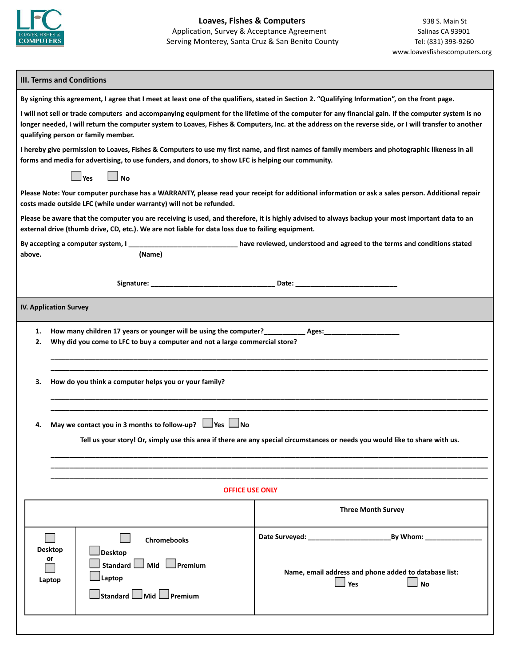

## **III. Terms and Conditions**

|                                                                                                                                                                                                                                                                                                                                                      | By signing this agreement, I agree that I meet at least one of the qualifiers, stated in Section 2. "Qualifying Information", on the front page.                                                                                                      |                                                                                           |  |  |  |  |  |  |
|------------------------------------------------------------------------------------------------------------------------------------------------------------------------------------------------------------------------------------------------------------------------------------------------------------------------------------------------------|-------------------------------------------------------------------------------------------------------------------------------------------------------------------------------------------------------------------------------------------------------|-------------------------------------------------------------------------------------------|--|--|--|--|--|--|
| I will not sell or trade computers and accompanying equipment for the lifetime of the computer for any financial gain. If the computer system is no<br>longer needed, I will return the computer system to Loaves, Fishes & Computers, Inc. at the address on the reverse side, or I will transfer to another<br>qualifying person or family member. |                                                                                                                                                                                                                                                       |                                                                                           |  |  |  |  |  |  |
| I hereby give permission to Loaves, Fishes & Computers to use my first name, and first names of family members and photographic likeness in all<br>forms and media for advertising, to use funders, and donors, to show LFC is helping our community.                                                                                                |                                                                                                                                                                                                                                                       |                                                                                           |  |  |  |  |  |  |
| $\Box$ No<br>$\Box$ Yes                                                                                                                                                                                                                                                                                                                              |                                                                                                                                                                                                                                                       |                                                                                           |  |  |  |  |  |  |
| Please Note: Your computer purchase has a WARRANTY, please read your receipt for additional information or ask a sales person. Additional repair<br>costs made outside LFC (while under warranty) will not be refunded.                                                                                                                              |                                                                                                                                                                                                                                                       |                                                                                           |  |  |  |  |  |  |
|                                                                                                                                                                                                                                                                                                                                                      | Please be aware that the computer you are receiving is used, and therefore, it is highly advised to always backup your most important data to an<br>external drive (thumb drive, CD, etc.). We are not liable for data loss due to failing equipment. |                                                                                           |  |  |  |  |  |  |
|                                                                                                                                                                                                                                                                                                                                                      | By accepting a computer system, I                                                                                                                                                                                                                     | _________________ have reviewed, understood and agreed to the terms and conditions stated |  |  |  |  |  |  |
| above.                                                                                                                                                                                                                                                                                                                                               | (Name)                                                                                                                                                                                                                                                |                                                                                           |  |  |  |  |  |  |
|                                                                                                                                                                                                                                                                                                                                                      |                                                                                                                                                                                                                                                       |                                                                                           |  |  |  |  |  |  |
| <b>IV. Application Survey</b>                                                                                                                                                                                                                                                                                                                        |                                                                                                                                                                                                                                                       |                                                                                           |  |  |  |  |  |  |
| 1.                                                                                                                                                                                                                                                                                                                                                   |                                                                                                                                                                                                                                                       |                                                                                           |  |  |  |  |  |  |
| 2.                                                                                                                                                                                                                                                                                                                                                   | Why did you come to LFC to buy a computer and not a large commercial store?                                                                                                                                                                           |                                                                                           |  |  |  |  |  |  |
|                                                                                                                                                                                                                                                                                                                                                      |                                                                                                                                                                                                                                                       |                                                                                           |  |  |  |  |  |  |
| З.                                                                                                                                                                                                                                                                                                                                                   | How do you think a computer helps you or your family?                                                                                                                                                                                                 |                                                                                           |  |  |  |  |  |  |
|                                                                                                                                                                                                                                                                                                                                                      |                                                                                                                                                                                                                                                       |                                                                                           |  |  |  |  |  |  |
| 4.                                                                                                                                                                                                                                                                                                                                                   | May we contact you in 3 months to follow-up? $\Box$ Yes $\Box$ No                                                                                                                                                                                     |                                                                                           |  |  |  |  |  |  |
| Tell us your story! Or, simply use this area if there are any special circumstances or needs you would like to share with us.                                                                                                                                                                                                                        |                                                                                                                                                                                                                                                       |                                                                                           |  |  |  |  |  |  |
|                                                                                                                                                                                                                                                                                                                                                      |                                                                                                                                                                                                                                                       |                                                                                           |  |  |  |  |  |  |
| <b>OFFICE USE ONLY</b>                                                                                                                                                                                                                                                                                                                               |                                                                                                                                                                                                                                                       |                                                                                           |  |  |  |  |  |  |
| <b>Three Month Survey</b>                                                                                                                                                                                                                                                                                                                            |                                                                                                                                                                                                                                                       |                                                                                           |  |  |  |  |  |  |
|                                                                                                                                                                                                                                                                                                                                                      |                                                                                                                                                                                                                                                       |                                                                                           |  |  |  |  |  |  |
|                                                                                                                                                                                                                                                                                                                                                      | <b>Chromebooks</b>                                                                                                                                                                                                                                    |                                                                                           |  |  |  |  |  |  |
|                                                                                                                                                                                                                                                                                                                                                      | <b>Desktop</b><br>Desktop<br>or<br>Standard Mid Premium                                                                                                                                                                                               |                                                                                           |  |  |  |  |  |  |
|                                                                                                                                                                                                                                                                                                                                                      | Laptop<br>Laptop                                                                                                                                                                                                                                      | Name, email address and phone added to database list:                                     |  |  |  |  |  |  |
|                                                                                                                                                                                                                                                                                                                                                      | $\sqrt{\frac{1}{100}}$ Standard $\sqrt{\frac{1}{100}}$ Premium                                                                                                                                                                                        | $\mathsf{\mathsf{I}}$ Yes<br><b>No</b>                                                    |  |  |  |  |  |  |
|                                                                                                                                                                                                                                                                                                                                                      |                                                                                                                                                                                                                                                       |                                                                                           |  |  |  |  |  |  |
|                                                                                                                                                                                                                                                                                                                                                      |                                                                                                                                                                                                                                                       |                                                                                           |  |  |  |  |  |  |